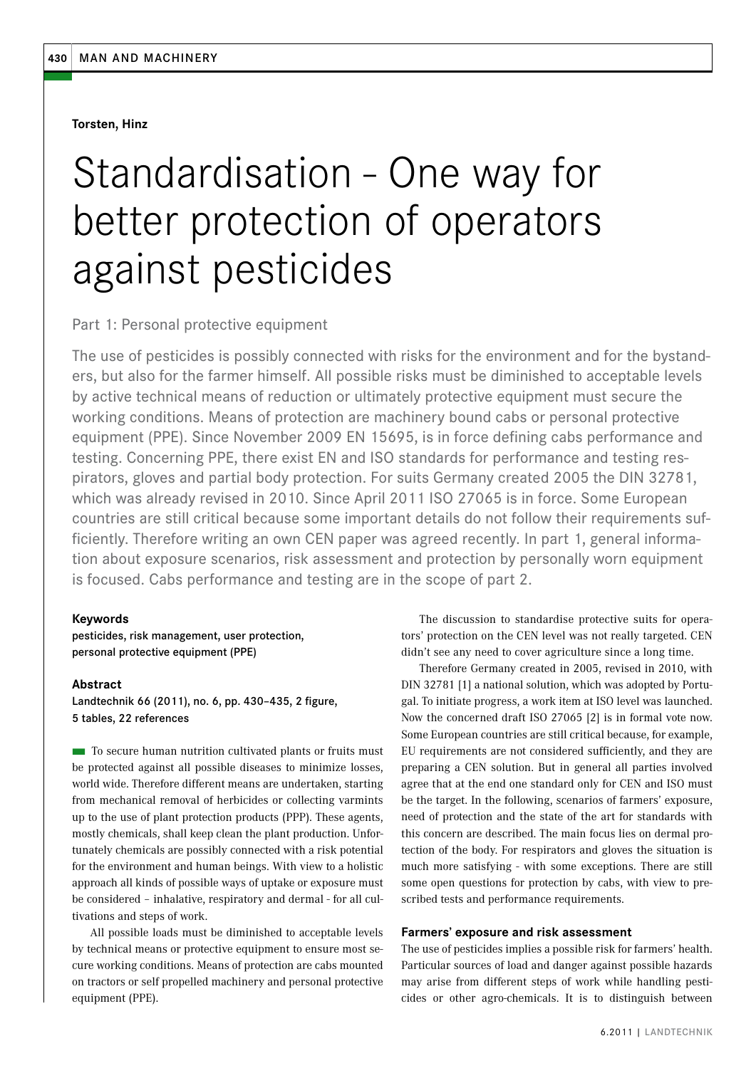**Torsten, Hinz**

# Standardisation - One way for better protection of operators against pesticides

# Part 1: Personal protective equipment

The use of pesticides is possibly connected with risks for the environment and for the bystanders, but also for the farmer himself. All possible risks must be diminished to acceptable levels by active technical means of reduction or ultimately protective equipment must secure the working conditions. Means of protection are machinery bound cabs or personal protective equipment (PPE). Since November 2009 EN 15695, is in force defining cabs performance and testing. Concerning PPE, there exist EN and ISO standards for performance and testing respirators, gloves and partial body protection. For suits Germany created 2005 the DIN 32781, which was already revised in 2010. Since April 2011 ISO 27065 is in force. Some European countries are still critical because some important details do not follow their requirements sufficiently. Therefore writing an own CEN paper was agreed recently. In part 1, general information about exposure scenarios, risk assessment and protection by personally worn equipment is focused. Cabs performance and testing are in the scope of part 2.

## **Keywords**

pesticides, risk management, user protection, personal protective equipment (PPE)

#### **Abstract**

Landtechnik 66 (2011), no. 6, pp. 430–435, 2 figure, 5 tables, 22 references

■ To secure human nutrition cultivated plants or fruits must be protected against all possible diseases to minimize losses, world wide. Therefore different means are undertaken, starting from mechanical removal of herbicides or collecting varmints up to the use of plant protection products (PPP). These agents, mostly chemicals, shall keep clean the plant production. Unfortunately chemicals are possibly connected with a risk potential for the environment and human beings. With view to a holistic approach all kinds of possible ways of uptake or exposure must be considered – inhalative, respiratory and dermal - for all cultivations and steps of work.

All possible loads must be diminished to acceptable levels by technical means or protective equipment to ensure most secure working conditions. Means of protection are cabs mounted on tractors or self propelled machinery and personal protective equipment (PPE).

The discussion to standardise protective suits for operators' protection on the CEN level was not really targeted. CEN didn't see any need to cover agriculture since a long time.

Therefore Germany created in 2005, revised in 2010, with DIN 32781 [1] a national solution, which was adopted by Portugal. To initiate progress, a work item at ISO level was launched. Now the concerned draft ISO 27065 [2] is in formal vote now. Some European countries are still critical because, for example, EU requirements are not considered sufficiently, and they are preparing a CEN solution. But in general all parties involved agree that at the end one standard only for CEN and ISO must be the target. In the following, scenarios of farmers' exposure, need of protection and the state of the art for standards with this concern are described. The main focus lies on dermal protection of the body. For respirators and gloves the situation is much more satisfying - with some exceptions. There are still some open questions for protection by cabs, with view to prescribed tests and performance requirements.

#### **Farmers' exposure and risk assessment**

The use of pesticides implies a possible risk for farmers' health. Particular sources of load and danger against possible hazards may arise from different steps of work while handling pesticides or other agro-chemicals. It is to distinguish between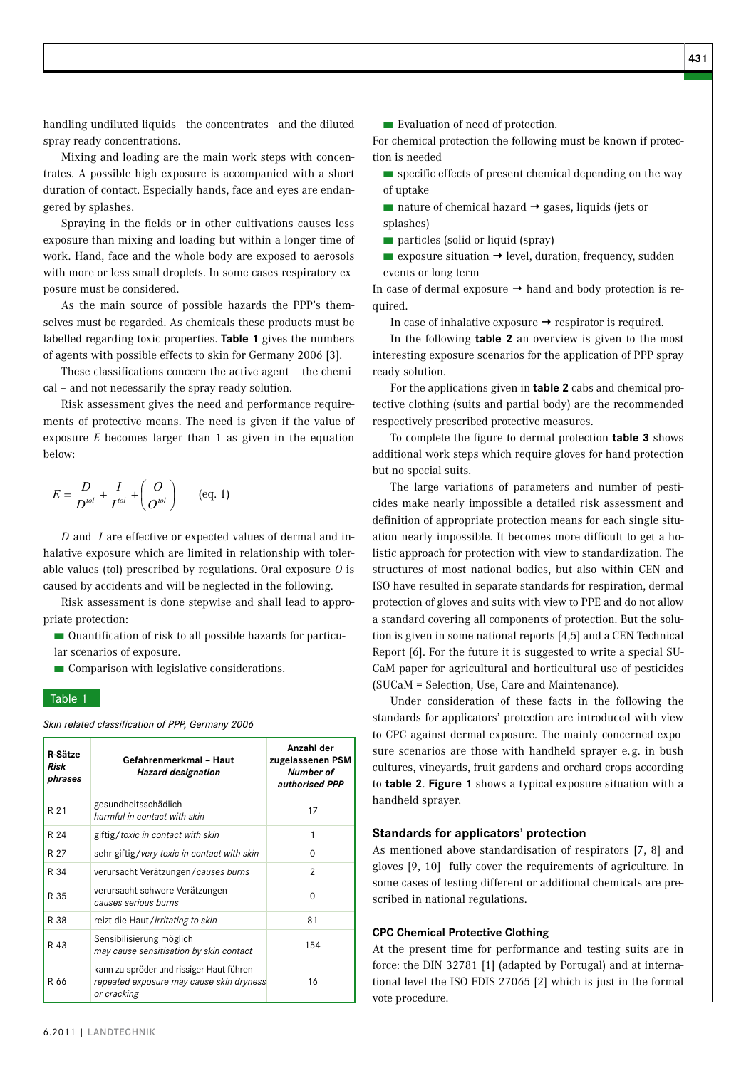handling undiluted liquids - the concentrates - and the diluted spray ready concentrations.

Mixing and loading are the main work steps with concentrates. A possible high exposure is accompanied with a short duration of contact. Especially hands, face and eyes are endangered by splashes.

Spraying in the fields or in other cultivations causes less exposure than mixing and loading but within a longer time of work. Hand, face and the whole body are exposed to aerosols with more or less small droplets. In some cases respiratory exposure must be considered.

As the main source of possible hazards the PPP's themselves must be regarded. As chemicals these products must be labelled regarding toxic properties. **Table 1** gives the numbers of agents with possible effects to skin for Germany 2006 [3].

These classifications concern the active agent – the chemical – and not necessarily the spray ready solution.

Risk assessment gives the need and performance requirements of protective means. The need is given if the value of exposure *E* becomes larger than 1 as given in the equation below:

$$
E = \frac{D}{D^{\text{tol}}} + \frac{I}{I^{\text{tol}}} + \left(\frac{O}{O^{\text{tol}}}\right) \qquad \text{(eq. 1)}
$$

*D* and *I* are effective or expected values of dermal and inhalative exposure which are limited in relationship with tolerable values (tol) prescribed by regulations. Oral exposure *O* is caused by accidents and will be neglected in the following.

Risk assessment is done stepwise and shall lead to appropriate protection:

■ Quantification of risk to all possible hazards for particular scenarios of exposure.

■ Comparison with legislative considerations.

# Table 1

| R-Sätze<br>Risk<br>phrases | Gefahrenmerkmal - Haut<br><b>Hazard designation</b>                                                 | Anzahl der<br>zugelassenen PSM<br>Number of<br>authorised PPP |  |  |
|----------------------------|-----------------------------------------------------------------------------------------------------|---------------------------------------------------------------|--|--|
| R 21                       | gesundheitsschädlich<br>harmful in contact with skin                                                | 17                                                            |  |  |
| R 24                       | giftig/toxic in contact with skin                                                                   | 1                                                             |  |  |
| R 27                       | sehr giftig/very toxic in contact with skin                                                         | 0                                                             |  |  |
| R 34                       | verursacht Verätzungen/causes burns                                                                 | 2                                                             |  |  |
| R 35                       | verursacht schwere Verätzungen<br>causes serious burns                                              | 0                                                             |  |  |
| R 38                       | reizt die Haut/irritating to skin                                                                   | 81                                                            |  |  |
| R 43                       | Sensibilisierung möglich<br>may cause sensitisation by skin contact                                 | 154                                                           |  |  |
| R 66                       | kann zu spröder und rissiger Haut führen<br>repeated exposure may cause skin dryness<br>or cracking | 16                                                            |  |  |

*Skin related classification of PPP, Germany 2006*

■ Evaluation of need of protection.

For chemical protection the following must be known if protection is needed

- specific effects of present chemical depending on the way of uptake
- $\blacksquare$  nature of chemical hazard  $\rightarrow$  gases, liquids (jets or splashes)
- particles (solid or liquid (spray)
- $\blacksquare$  exposure situation  $\rightarrow$  level, duration, frequency, sudden events or long term

In case of dermal exposure  $\rightarrow$  hand and body protection is required.

In case of inhalative exposure  $\rightarrow$  respirator is required.

In the following **table 2** an overview is given to the most interesting exposure scenarios for the application of PPP spray ready solution.

For the applications given in **table 2** cabs and chemical protective clothing (suits and partial body) are the recommended respectively prescribed protective measures.

To complete the figure to dermal protection **table 3** shows additional work steps which require gloves for hand protection but no special suits.

The large variations of parameters and number of pesticides make nearly impossible a detailed risk assessment and definition of appropriate protection means for each single situation nearly impossible. It becomes more difficult to get a holistic approach for protection with view to standardization. The structures of most national bodies, but also within CEN and ISO have resulted in separate standards for respiration, dermal protection of gloves and suits with view to PPE and do not allow a standard covering all components of protection. But the solution is given in some national reports [4,5] and a CEN Technical Report [6]. For the future it is suggested to write a special SU-CaM paper for agricultural and horticultural use of pesticides (SUCaM = Selection, Use, Care and Maintenance).

Under consideration of these facts in the following the standards for applicators' protection are introduced with view to CPC against dermal exposure. The mainly concerned exposure scenarios are those with handheld sprayer e.g. in bush cultures, vineyards, fruit gardens and orchard crops according to **table 2**. **Figure 1** shows a typical exposure situation with a handheld sprayer.

### **Standards for applicators' protection**

As mentioned above standardisation of respirators [7, 8] and gloves [9, 10] fully cover the requirements of agriculture. In some cases of testing different or additional chemicals are prescribed in national regulations.

## **CPC Chemical Protective Clothing**

At the present time for performance and testing suits are in force: the DIN 32781 [1] (adapted by Portugal) and at international level the ISO FDIS 27065 [2] which is just in the formal vote procedure.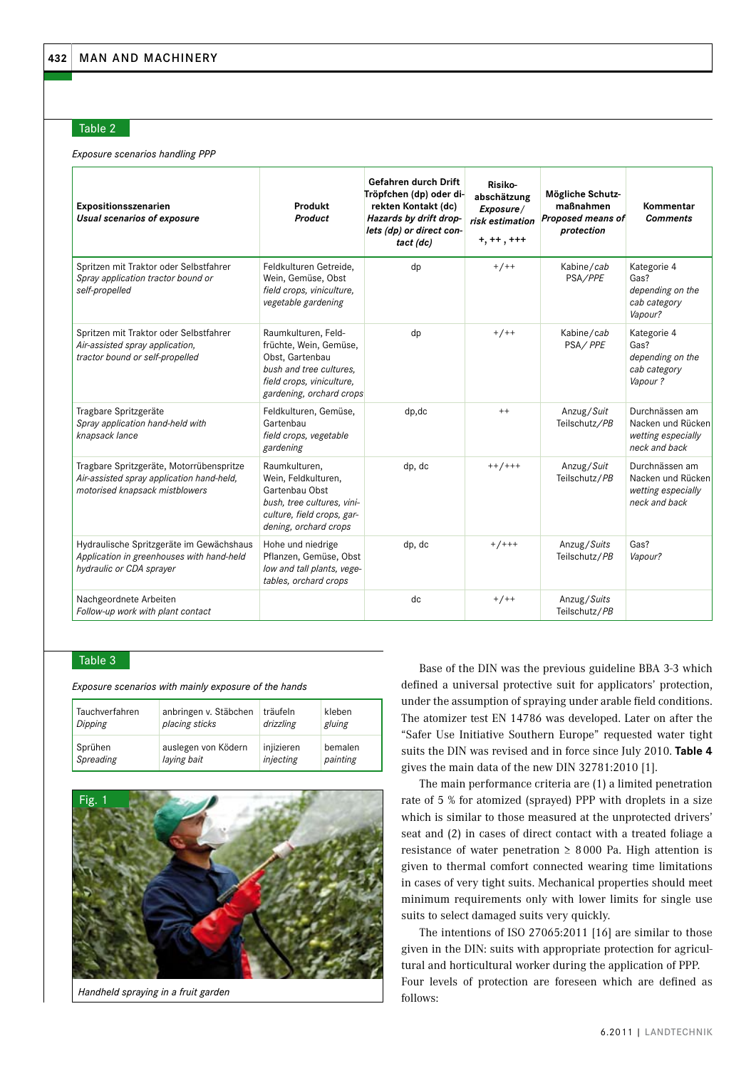#### Table 2

*Exposure scenarios handling PPP* 

| Expositionsszenarien<br>Usual scenarios of exposure                                                                     | Produkt<br>Product                                                                                                                                   | Gefahren durch Drift<br>Tröpfchen (dp) oder di-<br>rekten Kontakt (dc)<br>Hazards by drift drop-<br>lets (dp) or direct con-<br>tact (dc) | Risiko-<br>abschätzung<br>Exposure/<br>risk estimation<br>$+, ++, +++$ | Mögliche Schutz-<br>maßnahmen<br>Proposed means of<br>protection | Kommentar<br>Comments                                                      |
|-------------------------------------------------------------------------------------------------------------------------|------------------------------------------------------------------------------------------------------------------------------------------------------|-------------------------------------------------------------------------------------------------------------------------------------------|------------------------------------------------------------------------|------------------------------------------------------------------|----------------------------------------------------------------------------|
| Spritzen mit Traktor oder Selbstfahrer<br>Spray application tractor bound or<br>self-propelled                          | Feldkulturen Getreide,<br>Wein, Gemüse, Obst<br>field crops, viniculture,<br>vegetable gardening                                                     | dp                                                                                                                                        | $+/++$                                                                 | Kabine/cab<br>PSA/PPE                                            | Kategorie 4<br>Gas?<br>depending on the<br>cab category<br>Vapour?         |
| Spritzen mit Traktor oder Selbstfahrer<br>Air-assisted spray application,<br>tractor bound or self-propelled            | Raumkulturen, Feld-<br>früchte, Wein, Gemüse,<br>Obst, Gartenbau<br>bush and tree cultures,<br>field crops, viniculture,<br>gardening, orchard crops | dp                                                                                                                                        | $+/++$                                                                 | Kabine/cab<br>PSA/PPE                                            | Kategorie 4<br>Gas?<br>depending on the<br>cab category<br>Vapour?         |
| Tragbare Spritzgeräte<br>Spray application hand-held with<br>knapsack lance                                             | Feldkulturen, Gemüse,<br>Gartenbau<br>field crops, vegetable<br>gardening                                                                            | dp, dc                                                                                                                                    | $^{++}$                                                                | Anzug/Suit<br>Teilschutz/PB                                      | Durchnässen am<br>Nacken und Rücken<br>wetting especially<br>neck and back |
| Tragbare Spritzgeräte, Motorrübenspritze<br>Air-assisted spray application hand-held,<br>motorised knapsack mistblowers | Raumkulturen,<br>Wein, Feldkulturen,<br>Gartenbau Obst<br>bush, tree cultures, vini-<br>culture, field crops, gar-<br>dening, orchard crops          | dp, dc                                                                                                                                    | $++/+++$                                                               | Anzug/Suit<br>Teilschutz/PB                                      | Durchnässen am<br>Nacken und Rücken<br>wetting especially<br>neck and back |
| Hydraulische Spritzgeräte im Gewächshaus<br>Application in greenhouses with hand-held<br>hydraulic or CDA sprayer       | Hohe und niedrige<br>Pflanzen, Gemüse, Obst<br>low and tall plants, vege-<br>tables, orchard crops                                                   | dp, dc                                                                                                                                    | $+ / + + +$                                                            | Anzug/Suits<br>Teilschutz/PB                                     | Gas?<br>Vapour?                                                            |
| Nachgeordnete Arbeiten<br>Follow-up work with plant contact                                                             |                                                                                                                                                      | dc                                                                                                                                        | $+/-+$                                                                 | Anzug/Suits<br>Teilschutz/PB                                     |                                                                            |

# Table 3

*Exposure scenarios with mainly exposure of the hands*

| Tauchverfahren | anbringen v. Stäbchen | träufeln   | kleben   |
|----------------|-----------------------|------------|----------|
| Dipping        | placing sticks        | drizzling  | gluing   |
| <b>Sprühen</b> | auslegen von Ködern   | injizieren | bemalen  |
| Spreading      | laying bait           | injecting  | painting |



*Handheld spraying in a fruit garden*

Base of the DIN was the previous guideline BBA 3-3 which defined a universal protective suit for applicators' protection, under the assumption of spraying under arable field conditions. The atomizer test EN 14786 was developed. Later on after the "Safer Use Initiative Southern Europe" requested water tight suits the DIN was revised and in force since July 2010. **Table 4**  gives the main data of the new DIN 32781:2010 [1].

The main performance criteria are (1) a limited penetration rate of 5 % for atomized (sprayed) PPP with droplets in a size which is similar to those measured at the unprotected drivers' seat and (2) in cases of direct contact with a treated foliage a resistance of water penetration  $\geq 8000$  Pa. High attention is given to thermal comfort connected wearing time limitations in cases of very tight suits. Mechanical properties should meet minimum requirements only with lower limits for single use suits to select damaged suits very quickly.

The intentions of ISO 27065:2011 [16] are similar to those given in the DIN: suits with appropriate protection for agricultural and horticultural worker during the application of PPP. Four levels of protection are foreseen which are defined as follows: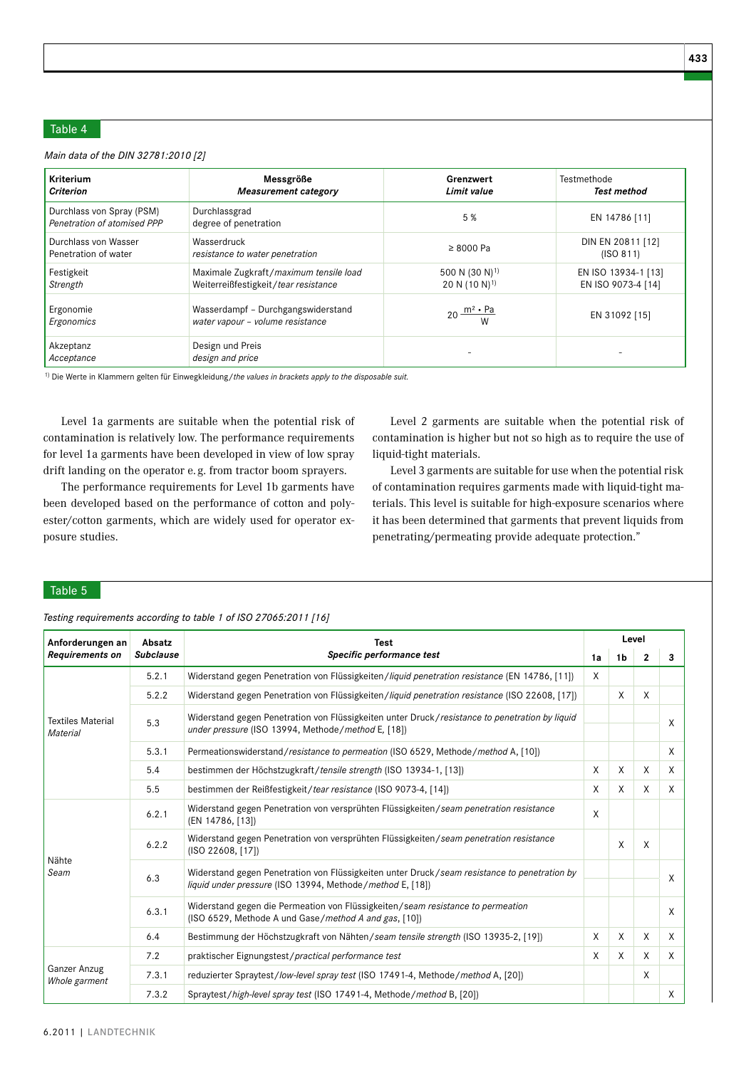# Table 4

*Main data of the DIN 32781:2010 [2]*

| <b>Kriterium</b>                                         | Messgröße                                                              | Grenzwert                   | Testmethode         |
|----------------------------------------------------------|------------------------------------------------------------------------|-----------------------------|---------------------|
| <b>Criterion</b>                                         | Measurement category                                                   | Limit value                 | Test method         |
| Durchlass von Spray (PSM)<br>Penetration of atomised PPP | Durchlassgrad<br>degree of penetration                                 | 5 %                         | EN 14786 [11]       |
| Durchlass von Wasser                                     | Wasserdruck                                                            | $\geq 8000$ Pa              | DIN EN 20811 [12]   |
| Penetration of water                                     | resistance to water penetration                                        |                             | (ISO 811)           |
| Festigkeit                                               | Maximale Zugkraft/maximum tensile load                                 | 500 N (30 N) <sup>1)</sup>  | EN ISO 13934-1 [13] |
| Strength                                                 | Weiterreißfestigkeit / tear resistance                                 | 20 N $(10 N)^{1}$           | EN ISO 9073-4 [14]  |
| Ergonomie<br>Ergonomics                                  | Wasserdampf - Durchgangswiderstand<br>water vapour - volume resistance | 20 $\frac{m^2 \cdot Pa}{W}$ | EN 31092 [15]       |
| Akzeptanz<br>Acceptance                                  | Design und Preis<br>design and price                                   |                             |                     |

1) Die Werte in Klammern gelten für Einwegkleidung/*the values in brackets apply to the disposable suit.* 

Level 1a garments are suitable when the potential risk of contamination is relatively low. The performance requirements for level 1a garments have been developed in view of low spray drift landing on the operator e. g. from tractor boom sprayers.

The performance requirements for Level 1b garments have been developed based on the performance of cotton and polyester/cotton garments, which are widely used for operator exposure studies.

Level 2 garments are suitable when the potential risk of contamination is higher but not so high as to require the use of liquid-tight materials.

Level 3 garments are suitable for use when the potential risk of contamination requires garments made with liquid-tight materials. This level is suitable for high-exposure scenarios where it has been determined that garments that prevent liquids from penetrating/permeating provide adequate protection."

Table 5

*Testing requirements according to table 1 of ISO 27065:2011 [16]*

| Anforderungen an                     | Absatz<br><b>Test</b> |                                                                                                                                                           |    | Level          |                |          |
|--------------------------------------|-----------------------|-----------------------------------------------------------------------------------------------------------------------------------------------------------|----|----------------|----------------|----------|
| <b>Requirements on</b>               | <b>Subclause</b>      | Specific performance test                                                                                                                                 | 1a | 1 <sub>b</sub> | $\overline{2}$ | 3        |
| <b>Textiles Material</b><br>Material | 5.2.1                 | Widerstand gegen Penetration von Flüssigkeiten/liquid penetration resistance (EN 14786, [11])                                                             | X  |                |                |          |
|                                      | 5.2.2                 | Widerstand gegen Penetration von Flüssigkeiten/liquid penetration resistance (ISO 22608, [17])                                                            |    | X              | X              |          |
|                                      | 5.3                   | Widerstand gegen Penetration von Flüssigkeiten unter Druck/resistance to penetration by liquid<br>under pressure (ISO 13994, Methode/method E, [18])      |    |                |                | X        |
|                                      | 5.3.1                 | Permeationswiderstand/resistance to permeation (ISO 6529, Methode/method A, [10])                                                                         |    |                |                | X        |
|                                      | 5.4                   | bestimmen der Höchstzugkraft/tensile strength (ISO 13934-1, [13])                                                                                         | X  | X              | X              | $\times$ |
|                                      | 5.5                   | bestimmen der Reißfestigkeit/tear resistance (ISO 9073-4, [14])                                                                                           | X  | X              | X              | X        |
| Nähte<br>Seam                        | 6.2.1                 | Widerstand gegen Penetration von versprühten Flüssigkeiten/seam penetration resistance<br>(EN 14786, [13])                                                | X  |                |                |          |
|                                      | 6.2.2                 | Widerstand gegen Penetration von versprühten Flüssigkeiten/seam penetration resistance<br>(ISO 22608, [17])                                               |    | X              | X              |          |
|                                      | 6.3                   | Widerstand gegen Penetration von Flüssigkeiten unter Druck/seam resistance to penetration by<br>liquid under pressure (ISO 13994, Methode/method E, [18]) |    |                |                | X        |
|                                      | 6.3.1                 | Widerstand gegen die Permeation von Flüssigkeiten/seam resistance to permeation<br>(ISO 6529, Methode A und Gase/method A and gas, [10])                  |    |                |                | X        |
|                                      | 6.4                   | Bestimmung der Höchstzugkraft von Nähten/seam tensile strength (ISO 13935-2, [19])                                                                        | X  | X              | X              | X        |
| Ganzer Anzug<br>Whole garment        | 7.2                   | praktischer Eignungstest/practical performance test                                                                                                       | X  | X              | X              | $\times$ |
|                                      | 7.3.1                 | reduzierter Spraytest/low-level spray test (ISO 17491-4, Methode/method A, [20])                                                                          |    |                | X              |          |
|                                      | 7.3.2                 | Spraytest/high-level spray test (ISO 17491-4, Methode/method B, [20])                                                                                     |    |                |                | X        |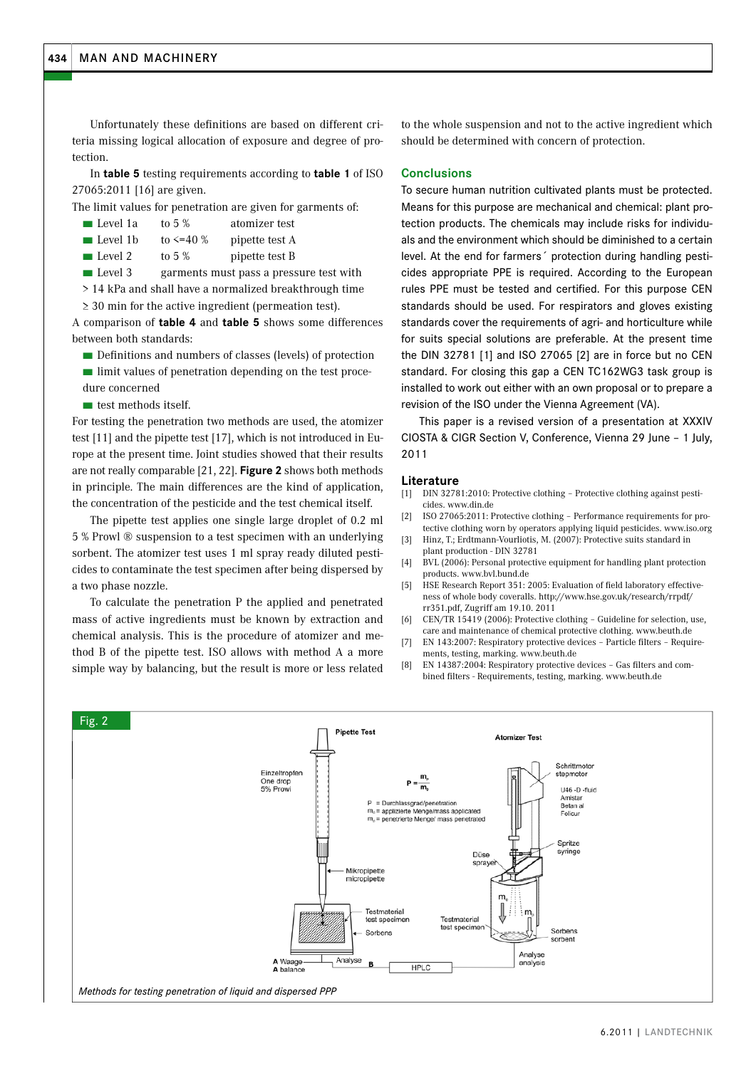Unfortunately these definitions are based on different criteria missing logical allocation of exposure and degree of protection.

In **table 5** testing requirements according to **table 1** of ISO 27065:2011 [16] are given.

The limit values for penetration are given for garments of:

- Level 1a to 5 % atomizer test
- **Example 1** Level 1b to  $\leq$  40 % pipette test A
- Level 2 to 5 % pipette test B
- Level 3 garments must pass a pressure test with

> 14 kPa and shall have a normalized breakthrough time ≥ 30 min for the active ingredient (permeation test).

A comparison of **table 4** and **table 5** shows some differences between both standards:

- Definitions and numbers of classes (levels) of protection
- limit values of penetration depending on the test procedure concerned
- test methods itself.

For testing the penetration two methods are used, the atomizer test [11] and the pipette test [17], which is not introduced in Europe at the present time. Joint studies showed that their results are not really comparable [21, 22]. **Figure 2** shows both methods in principle. The main differences are the kind of application, the concentration of the pesticide and the test chemical itself.

The pipette test applies one single large droplet of 0.2 ml 5 % Prowl ® suspension to a test specimen with an underlying sorbent. The atomizer test uses 1 ml spray ready diluted pesticides to contaminate the test specimen after being dispersed by a two phase nozzle.

To calculate the penetration P the applied and penetrated mass of active ingredients must be known by extraction and chemical analysis. This is the procedure of atomizer and method B of the pipette test. ISO allows with method A a more simple way by balancing, but the result is more or less related to the whole suspension and not to the active ingredient which should be determined with concern of protection.

## **Conclusions**

To secure human nutrition cultivated plants must be protected. Means for this purpose are mechanical and chemical: plant protection products. The chemicals may include risks for individuals and the environment which should be diminished to a certain level. At the end for farmers´ protection during handling pesticides appropriate PPE is required. According to the European rules PPE must be tested and certified. For this purpose CEN standards should be used. For respirators and gloves existing standards cover the requirements of agri- and horticulture while for suits special solutions are preferable. At the present time the DIN 32781 [1] and ISO 27065 [2] are in force but no CEN standard. For closing this gap a CEN TC162WG3 task group is installed to work out either with an own proposal or to prepare a revision of the ISO under the Vienna Agreement (VA).

This paper is a revised version of a presentation at XXXIV CIOSTA & CIGR Section V, Conference, Vienna 29 June – 1 July, 2011

#### **Literature**

- [1] DIN 32781:2010: Protective clothing Protective clothing against pesticides. www.din.de
- [2] ISO 27065:2011: Protective clothing Performance requirements for protective clothing worn by operators applying liquid pesticides. www.iso.org
- [3] Hinz, T.; Erdtmann-Vourliotis, M. (2007): Protective suits standard in plant production - DIN 32781
- [4] BVL (2006): Personal protective equipment for handling plant protection products. www.bvl.bund.de
- [5] HSE Research Report 351: 2005: Evaluation of field laboratory effectiveness of whole body coveralls. http://www.hse.gov.uk/research/rrpdf/ rr351.pdf, Zugriff am 19.10. 2011
- [6] CEN/TR 15419 (2006): Protective clothing Guideline for selection, use, care and maintenance of chemical protective clothing. www.beuth.de
- [7] EN 143:2007: Respiratory protective devices Particle filters Requirements, testing, marking. www.beuth.de
- [8] EN 14387:2004: Respiratory protective devices Gas filters and combined filters - Requirements, testing, marking. www.beuth.de